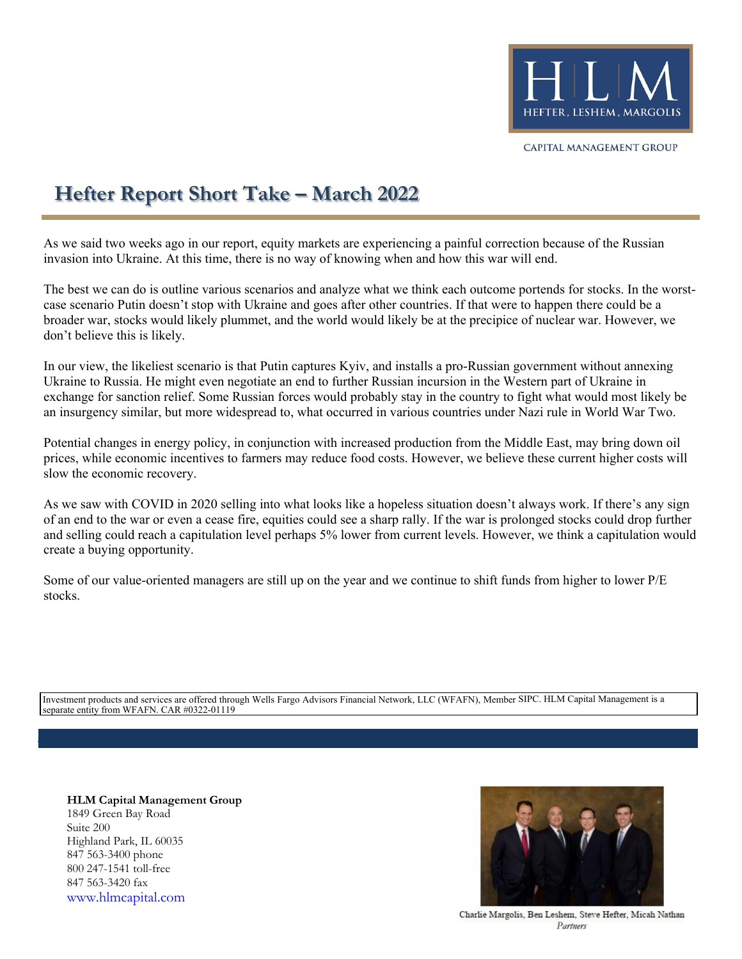

CAPITAL MANAGEMENT GROUP

## **Hefter Report Short Take – March 2022**

As we said two weeks ago in our report, equity markets are experiencing a painful correction because of the Russian invasion into Ukraine. At this time, there is no way of knowing when and how this war will end.

The best we can do is outline various scenarios and analyze what we think each outcome portends for stocks. In the worstcase scenario Putin doesn't stop with Ukraine and goes after other countries. If that were to happen there could be a broader war, stocks would likely plummet, and the world would likely be at the precipice of nuclear war. However, we don't believe this is likely.

In our view, the likeliest scenario is that Putin captures Kyiv, and installs a pro-Russian government without annexing Ukraine to Russia. He might even negotiate an end to further Russian incursion in the Western part of Ukraine in exchange for sanction relief. Some Russian forces would probably stay in the country to fight what would most likely be an insurgency similar, but more widespread to, what occurred in various countries under Nazi rule in World War Two.

Potential changes in energy policy, in conjunction with increased production from the Middle East, may bring down oil prices, while economic incentives to farmers may reduce food costs. However, we believe these current higher costs will slow the economic recovery.

As we saw with COVID in 2020 selling into what looks like a hopeless situation doesn't always work. If there's any sign of an end to the war or even a cease fire, equities could see a sharp rally. If the war is prolonged stocks could drop further and selling could reach a capitulation level perhaps 5% lower from current levels. However, we think a capitulation would create a buying opportunity.

Some of our value-oriented managers are still up on the year and we continue to shift funds from higher to lower P/E stocks.

Investment products and services are offered through Wells Fargo Advisors Financial Network, LLC (WFAFN), Member SIPC. HLM Capital Management is a separate entity from WFAFN. CAR #0322-01119

**HLM Capital Management Group** 1849 Green Bay Road Suite 200 Highland Park, IL 60035 847 563-3400 phone 800 247-1541 toll-free 847 563-3420 fax [www.hlmcapital.com](http://www.hlmcapital.com/)



Charlie Margolis, Ben Leshem, Steve Hefter, Micah Nathan Partnery